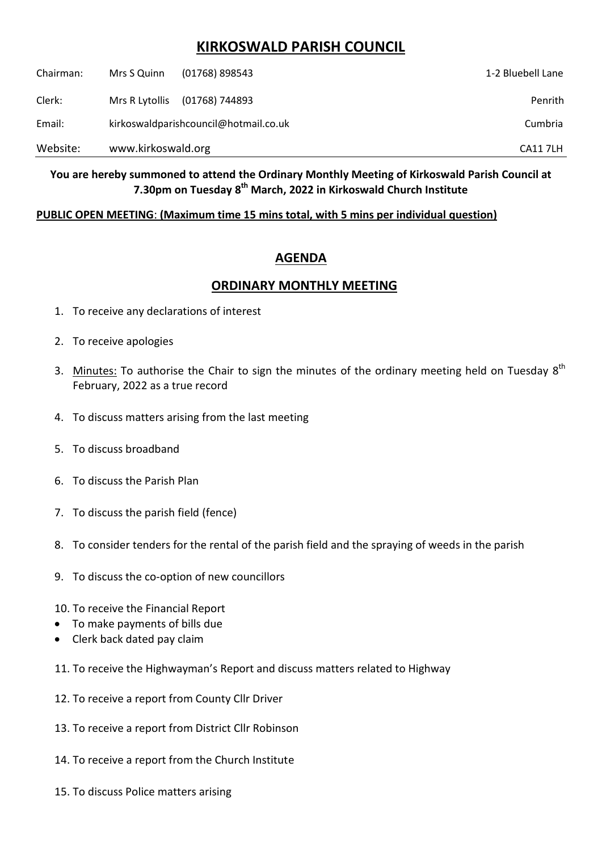## **KIRKOSWALD PARISH COUNCIL**

| Website:  | www.kirkoswald.org                    |                | <b>CA11 7LH</b>   |
|-----------|---------------------------------------|----------------|-------------------|
| Email:    | kirkoswaldparishcouncil@hotmail.co.uk |                | Cumbria           |
| Clerk:    | Mrs R Lytollis                        | (01768) 744893 | Penrith           |
| Chairman: | Mrs S Quinn                           | (01768) 898543 | 1-2 Bluebell Lane |

**You are hereby summoned to attend the Ordinary Monthly Meeting of Kirkoswald Parish Council at 7.30pm on Tuesday 8 th March, 2022 in Kirkoswald Church Institute**

## **PUBLIC OPEN MEETING**: **(Maximum time 15 mins total, with 5 mins per individual question)**

## **AGENDA**

## **ORDINARY MONTHLY MEETING**

- 1. To receive any declarations of interest
- 2. To receive apologies
- 3. Minutes: To authorise the Chair to sign the minutes of the ordinary meeting held on Tuesday  $8^{th}$ February, 2022 as a true record
- 4. To discuss matters arising from the last meeting
- 5. To discuss broadband
- 6. To discuss the Parish Plan
- 7. To discuss the parish field (fence)
- 8. To consider tenders for the rental of the parish field and the spraying of weeds in the parish
- 9. To discuss the co-option of new councillors
- 10. To receive the Financial Report
- To make payments of bills due
- Clerk back dated pay claim
- 11. To receive the Highwayman's Report and discuss matters related to Highway
- 12. To receive a report from County Cllr Driver
- 13. To receive a report from District Cllr Robinson
- 14. To receive a report from the Church Institute
- 15. To discuss Police matters arising